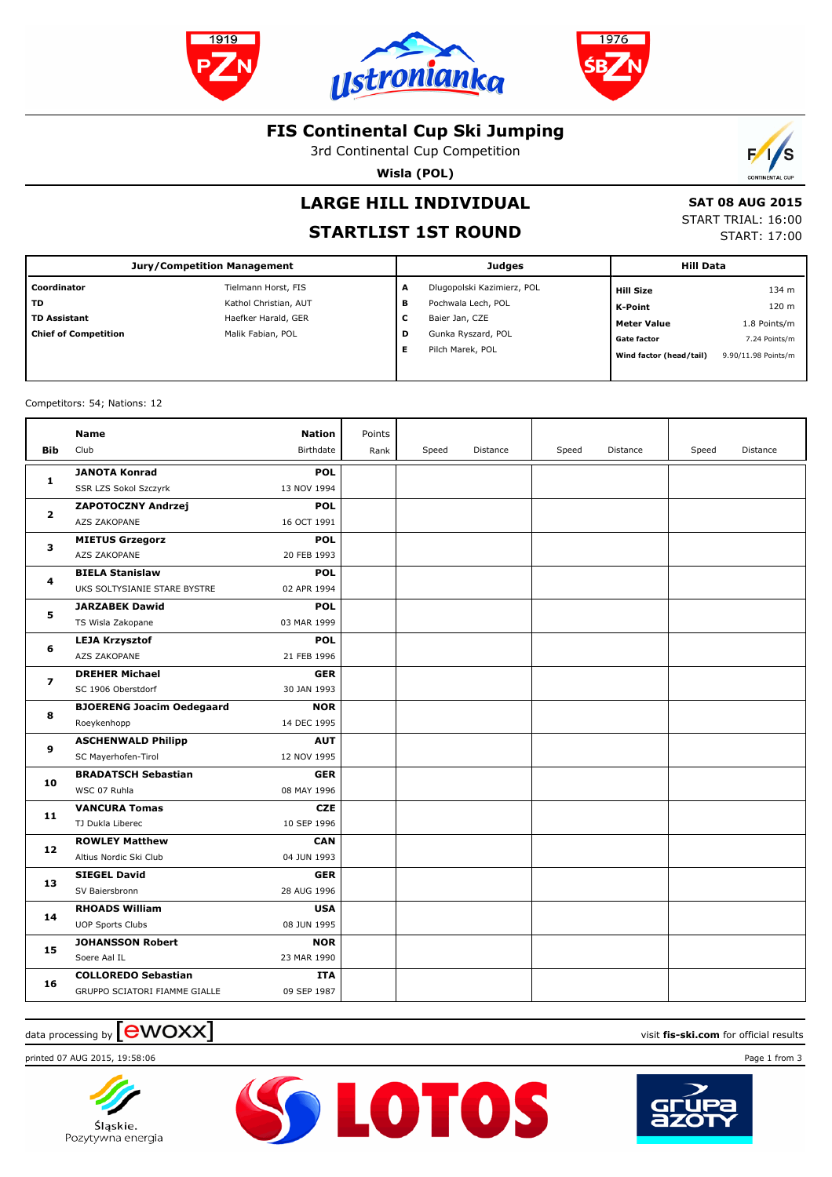





## **FIS Continental Cup Ski Jumping**

3rd Continental Cup Competition

**Wisla (POL)**



# **LARGE HILL INDIVIDUAL**

## **STARTLIST 1ST ROUND**

 **SAT 08 AUG 2015** START TRIAL: 16:00

START: 17:00

| <b>Jury/Competition Management</b> |                       |   | <b>Judges</b>              | <b>Hill Data</b>        |                     |  |
|------------------------------------|-----------------------|---|----------------------------|-------------------------|---------------------|--|
| Coordinator                        | Tielmann Horst, FIS   | A | Dlugopolski Kazimierz, POL | <b>Hill Size</b>        | 134 m               |  |
| TD                                 | Kathol Christian, AUT | в | Pochwala Lech, POL         | K-Point                 | 120 m               |  |
| <b>TD Assistant</b>                | Haefker Harald, GER   | С | Baier Jan, CZE             | Meter Value             | 1.8 Points/m        |  |
| <b>Chief of Competition</b>        | Malik Fabian, POL     | D | Gunka Ryszard, POL         | <b>Gate factor</b>      | 7.24 Points/m       |  |
|                                    |                       | Е | Pilch Marek, POL           | Wind factor (head/tail) | 9.90/11.98 Points/m |  |
|                                    |                       |   |                            |                         |                     |  |

Competitors: 54; Nations: 12

| <b>Bib</b>     | <b>Name</b><br>Club                                         | <b>Nation</b><br>Birthdate | Points<br>Rank | Speed | Distance | Speed | Distance | Speed | Distance |
|----------------|-------------------------------------------------------------|----------------------------|----------------|-------|----------|-------|----------|-------|----------|
| 1              | <b>JANOTA Konrad</b><br>SSR LZS Sokol Szczyrk               | <b>POL</b><br>13 NOV 1994  |                |       |          |       |          |       |          |
| $\mathbf{2}$   | <b>ZAPOTOCZNY Andrzej</b><br>AZS ZAKOPANE                   | <b>POL</b><br>16 OCT 1991  |                |       |          |       |          |       |          |
| 3              | <b>MIETUS Grzegorz</b><br>AZS ZAKOPANE                      | <b>POL</b><br>20 FEB 1993  |                |       |          |       |          |       |          |
| 4              | <b>BIELA Stanislaw</b><br>UKS SOLTYSIANIE STARE BYSTRE      | <b>POL</b><br>02 APR 1994  |                |       |          |       |          |       |          |
| 5              | <b>JARZABEK Dawid</b><br>TS Wisla Zakopane                  | <b>POL</b><br>03 MAR 1999  |                |       |          |       |          |       |          |
| 6              | <b>LEJA Krzysztof</b><br>AZS ZAKOPANE                       | <b>POL</b><br>21 FEB 1996  |                |       |          |       |          |       |          |
| $\overline{ }$ | <b>DREHER Michael</b><br>SC 1906 Oberstdorf                 | <b>GER</b><br>30 JAN 1993  |                |       |          |       |          |       |          |
| 8              | <b>BJOERENG Joacim Oedegaard</b><br>Roeykenhopp             | <b>NOR</b><br>14 DEC 1995  |                |       |          |       |          |       |          |
| 9              | <b>ASCHENWALD Philipp</b><br>SC Mayerhofen-Tirol            | <b>AUT</b><br>12 NOV 1995  |                |       |          |       |          |       |          |
| 10             | <b>BRADATSCH Sebastian</b><br>WSC 07 Ruhla                  | <b>GER</b><br>08 MAY 1996  |                |       |          |       |          |       |          |
| 11             | <b>VANCURA Tomas</b><br>TJ Dukla Liberec                    | <b>CZE</b><br>10 SEP 1996  |                |       |          |       |          |       |          |
| 12             | <b>ROWLEY Matthew</b><br>Altius Nordic Ski Club             | <b>CAN</b><br>04 JUN 1993  |                |       |          |       |          |       |          |
| 13             | <b>SIEGEL David</b><br>SV Baiersbronn                       | <b>GER</b><br>28 AUG 1996  |                |       |          |       |          |       |          |
| 14             | <b>RHOADS William</b><br><b>UOP Sports Clubs</b>            | <b>USA</b><br>08 JUN 1995  |                |       |          |       |          |       |          |
| 15             | <b>JOHANSSON Robert</b><br>Soere Aal IL                     | <b>NOR</b><br>23 MAR 1990  |                |       |          |       |          |       |          |
| 16             | <b>COLLOREDO Sebastian</b><br>GRUPPO SCIATORI FIAMME GIALLE | <b>ITA</b><br>09 SEP 1987  |                |       |          |       |          |       |          |

**SSLOTOS** 

## data processing by **CWOXX** and  $\blacksquare$  and  $\blacksquare$  and  $\blacksquare$  and  $\blacksquare$  and  $\blacksquare$  and  $\blacksquare$  and  $\blacksquare$  and  $\blacksquare$  and  $\blacksquare$  and  $\blacksquare$  and  $\blacksquare$  and  $\blacksquare$  and  $\blacksquare$  and  $\blacksquare$  and  $\blacksquare$  and  $\blacksquare$  and  $\blacksquare$  and  $\blacks$

printed 07 AUG 2015, 19:58:06 Page 1 from 3



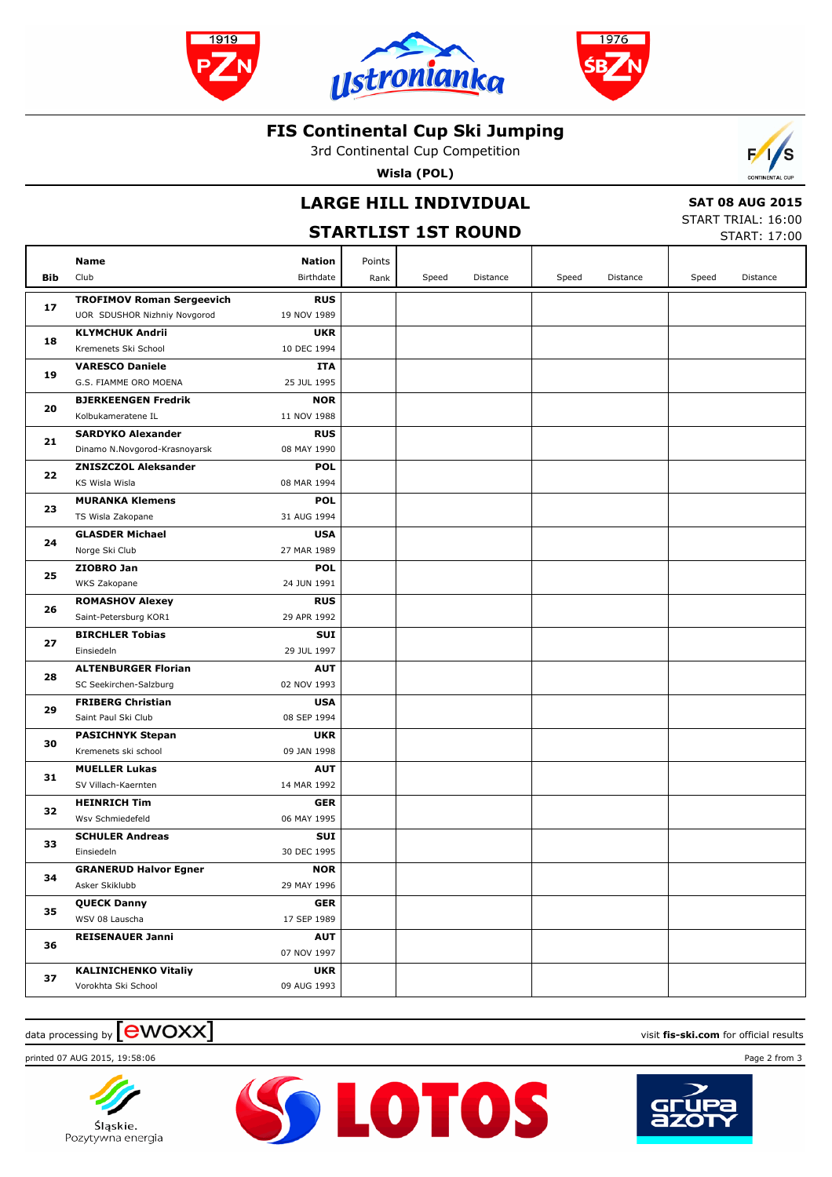





## **FIS Continental Cup Ski Jumping**

3rd Continental Cup Competition

**Wisla (POL)**



# **LARGE HILL INDIVIDUAL**

 **SAT 08 AUG 2015**

|     | LARGL IIILL INDIVIDOAL<br><b>STARTLIST 1ST ROUND</b> |                           |        |       |          |       |          | JAI VU AUU LUIJ<br>START TRIAL: 16:00<br><b>START: 17:00</b> |          |  |
|-----|------------------------------------------------------|---------------------------|--------|-------|----------|-------|----------|--------------------------------------------------------------|----------|--|
|     | Name                                                 | Nation                    | Points |       |          |       |          |                                                              |          |  |
| Bib | Club                                                 | Birthdate                 | Rank   | Speed | Distance | Speed | Distance | Speed                                                        | Distance |  |
|     | <b>TROFIMOV Roman Sergeevich</b>                     | <b>RUS</b>                |        |       |          |       |          |                                                              |          |  |
| 17  | UOR SDUSHOR Nizhniy Novgorod                         | 19 NOV 1989               |        |       |          |       |          |                                                              |          |  |
|     | <b>KLYMCHUK Andrii</b>                               | <b>UKR</b>                |        |       |          |       |          |                                                              |          |  |
| 18  | Kremenets Ski School                                 | 10 DEC 1994               |        |       |          |       |          |                                                              |          |  |
| 19  | <b>VARESCO Daniele</b>                               | ITA                       |        |       |          |       |          |                                                              |          |  |
|     | G.S. FIAMME ORO MOENA                                | 25 JUL 1995               |        |       |          |       |          |                                                              |          |  |
| 20  | <b>BJERKEENGEN Fredrik</b>                           | <b>NOR</b>                |        |       |          |       |          |                                                              |          |  |
|     | Kolbukameratene IL                                   | 11 NOV 1988               |        |       |          |       |          |                                                              |          |  |
| 21  | <b>SARDYKO Alexander</b>                             | <b>RUS</b>                |        |       |          |       |          |                                                              |          |  |
|     | Dinamo N.Novgorod-Krasnoyarsk                        | 08 MAY 1990               |        |       |          |       |          |                                                              |          |  |
| 22  | <b>ZNISZCZOL Aleksander</b>                          | <b>POL</b>                |        |       |          |       |          |                                                              |          |  |
|     | KS Wisla Wisla<br><b>MURANKA Klemens</b>             | 08 MAR 1994<br><b>POL</b> |        |       |          |       |          |                                                              |          |  |
| 23  | TS Wisla Zakopane                                    | 31 AUG 1994               |        |       |          |       |          |                                                              |          |  |
|     | <b>GLASDER Michael</b>                               | <b>USA</b>                |        |       |          |       |          |                                                              |          |  |
| 24  | Norge Ski Club                                       | 27 MAR 1989               |        |       |          |       |          |                                                              |          |  |
|     | ZIOBRO Jan                                           | <b>POL</b>                |        |       |          |       |          |                                                              |          |  |
| 25  | WKS Zakopane                                         | 24 JUN 1991               |        |       |          |       |          |                                                              |          |  |
|     | <b>ROMASHOV Alexey</b>                               | <b>RUS</b>                |        |       |          |       |          |                                                              |          |  |
| 26  | Saint-Petersburg KOR1                                | 29 APR 1992               |        |       |          |       |          |                                                              |          |  |
|     | <b>BIRCHLER Tobias</b>                               | <b>SUI</b>                |        |       |          |       |          |                                                              |          |  |
| 27  | Einsiedeln                                           | 29 JUL 1997               |        |       |          |       |          |                                                              |          |  |
| 28  | <b>ALTENBURGER Florian</b>                           | <b>AUT</b>                |        |       |          |       |          |                                                              |          |  |
|     | SC Seekirchen-Salzburg                               | 02 NOV 1993               |        |       |          |       |          |                                                              |          |  |
| 29  | <b>FRIBERG Christian</b>                             | <b>USA</b>                |        |       |          |       |          |                                                              |          |  |
|     | Saint Paul Ski Club                                  | 08 SEP 1994               |        |       |          |       |          |                                                              |          |  |
| 30  | <b>PASICHNYK Stepan</b>                              | <b>UKR</b>                |        |       |          |       |          |                                                              |          |  |
|     | Kremenets ski school                                 | 09 JAN 1998               |        |       |          |       |          |                                                              |          |  |
| 31  | <b>MUELLER Lukas</b>                                 | <b>AUT</b><br>14 MAR 1992 |        |       |          |       |          |                                                              |          |  |
|     | SV Villach-Kaernten<br><b>HEINRICH Tim</b>           | <b>GER</b>                |        |       |          |       |          |                                                              |          |  |
| 32  | Wsv Schmiedefeld                                     | 06 MAY 1995               |        |       |          |       |          |                                                              |          |  |
|     | <b>SCHULER Andreas</b>                               | SUI                       |        |       |          |       |          |                                                              |          |  |
| 33  | Einsiedeln                                           | 30 DEC 1995               |        |       |          |       |          |                                                              |          |  |
|     | <b>GRANERUD Halvor Egner</b>                         | <b>NOR</b>                |        |       |          |       |          |                                                              |          |  |
| 34  | Asker Skiklubb                                       | 29 MAY 1996               |        |       |          |       |          |                                                              |          |  |
|     | <b>QUECK Danny</b>                                   | <b>GER</b>                |        |       |          |       |          |                                                              |          |  |
| 35  | WSV 08 Lauscha                                       | 17 SEP 1989               |        |       |          |       |          |                                                              |          |  |
|     | <b>REISENAUER Janni</b>                              | <b>AUT</b>                |        |       |          |       |          |                                                              |          |  |
| 36  |                                                      | 07 NOV 1997               |        |       |          |       |          |                                                              |          |  |
|     | <b>KALINICHENKO Vitaliy</b>                          | <b>UKR</b>                |        |       |          |       |          |                                                              |          |  |
| 37  | Vorokhta Ski School                                  | 09 AUG 1993               |        |       |          |       |          |                                                              |          |  |

#### $\frac{1}{2}$  data processing by  $\boxed{\text{ewOX}}$

printed 07 AUG 2015, 19:58:06 Page 2 from 3